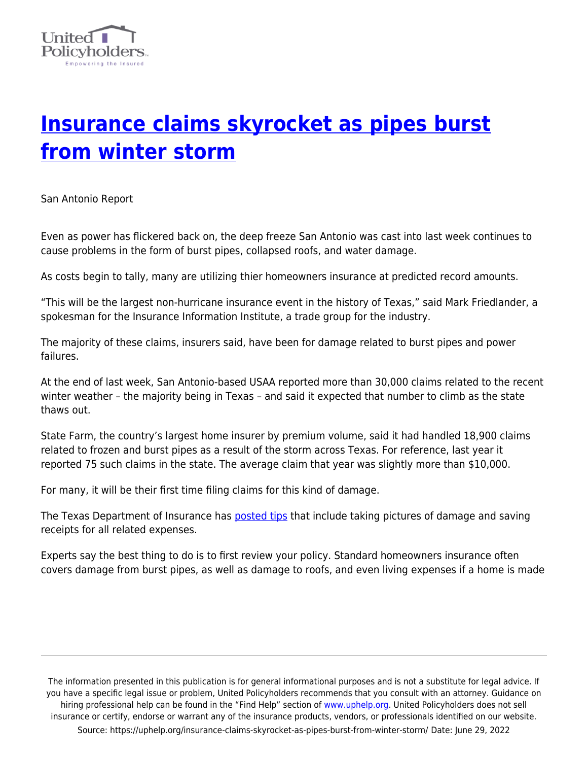

## **[Insurance claims skyrocket as pipes burst](https://uphelp.org/insurance-claims-skyrocket-as-pipes-burst-from-winter-storm/) [from winter storm](https://uphelp.org/insurance-claims-skyrocket-as-pipes-burst-from-winter-storm/)**

San Antonio Report

Even as power has flickered back on, the deep freeze San Antonio was cast into last week continues to cause problems in the form of burst pipes, collapsed roofs, and water damage.

As costs begin to tally, many are utilizing thier homeowners insurance at predicted record amounts.

"This will be the largest non-hurricane insurance event in the history of Texas," said Mark Friedlander, a spokesman for the Insurance Information Institute, a trade group for the industry.

The majority of these claims, insurers said, have been for damage related to burst pipes and power failures.

At the end of last week, San Antonio-based USAA reported more than 30,000 claims related to the recent winter weather – the majority being in Texas – and said it expected that number to climb as the state thaws out.

State Farm, the country's largest home insurer by premium volume, said it had handled 18,900 claims related to frozen and burst pipes as a result of the storm across Texas. For reference, last year it reported 75 such claims in the state. The average claim that year was slightly more than \$10,000.

For many, it will be their first time filing claims for this kind of damage.

The Texas Department of Insurance has **posted tips** that include taking pictures of damage and saving receipts for all related expenses.

Experts say the best thing to do is to first review your policy. Standard homeowners insurance often covers damage from burst pipes, as well as damage to roofs, and even living expenses if a home is made

The information presented in this publication is for general informational purposes and is not a substitute for legal advice. If you have a specific legal issue or problem, United Policyholders recommends that you consult with an attorney. Guidance on hiring professional help can be found in the "Find Help" section of [www.uphelp.org.](http://www.uphelp.org/) United Policyholders does not sell insurance or certify, endorse or warrant any of the insurance products, vendors, or professionals identified on our website. Source: https://uphelp.org/insurance-claims-skyrocket-as-pipes-burst-from-winter-storm/ Date: June 29, 2022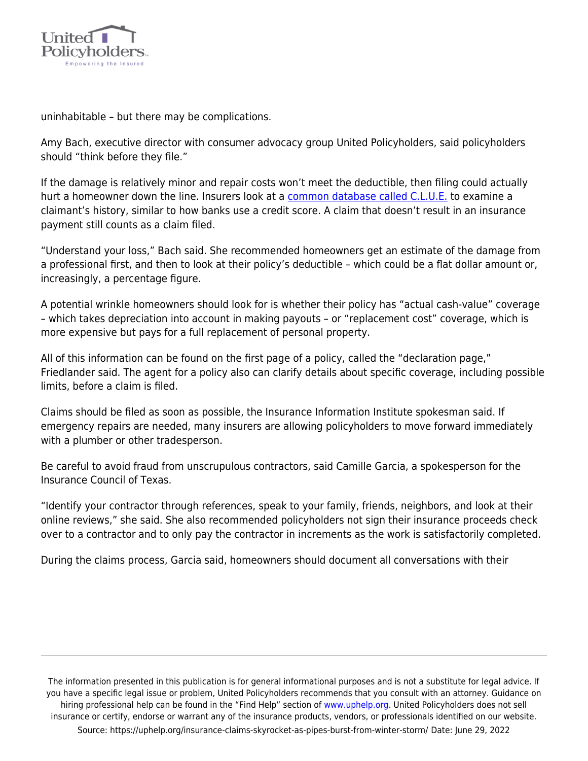

uninhabitable – but there may be complications.

Amy Bach, executive director with consumer advocacy group United Policyholders, said policyholders should "think before they file."

If the damage is relatively minor and repair costs won't meet the deductible, then filing could actually hurt a homeowner down the line. Insurers look at a [common database called C.L.U.E.](https://www.forbes.com/advisor/homeowners-insurance/clue-report/) to examine a claimant's history, similar to how banks use a credit score. A claim that doesn't result in an insurance payment still counts as a claim filed.

"Understand your loss," Bach said. She recommended homeowners get an estimate of the damage from a professional first, and then to look at their policy's deductible – which could be a flat dollar amount or, increasingly, a percentage figure.

A potential wrinkle homeowners should look for is whether their policy has "actual cash-value" coverage – which takes depreciation into account in making payouts – or "replacement cost" coverage, which is more expensive but pays for a full replacement of personal property.

All of this information can be found on the first page of a policy, called the "declaration page," Friedlander said. The agent for a policy also can clarify details about specific coverage, including possible limits, before a claim is filed.

Claims should be filed as soon as possible, the Insurance Information Institute spokesman said. If emergency repairs are needed, many insurers are allowing policyholders to move forward immediately with a plumber or other tradesperson.

Be careful to avoid fraud from unscrupulous contractors, said Camille Garcia, a spokesperson for the Insurance Council of Texas.

"Identify your contractor through references, speak to your family, friends, neighbors, and look at their online reviews," she said. She also recommended policyholders not sign their insurance proceeds check over to a contractor and to only pay the contractor in increments as the work is satisfactorily completed.

During the claims process, Garcia said, homeowners should document all conversations with their

The information presented in this publication is for general informational purposes and is not a substitute for legal advice. If you have a specific legal issue or problem, United Policyholders recommends that you consult with an attorney. Guidance on hiring professional help can be found in the "Find Help" section of [www.uphelp.org.](http://www.uphelp.org/) United Policyholders does not sell insurance or certify, endorse or warrant any of the insurance products, vendors, or professionals identified on our website. Source: https://uphelp.org/insurance-claims-skyrocket-as-pipes-burst-from-winter-storm/ Date: June 29, 2022